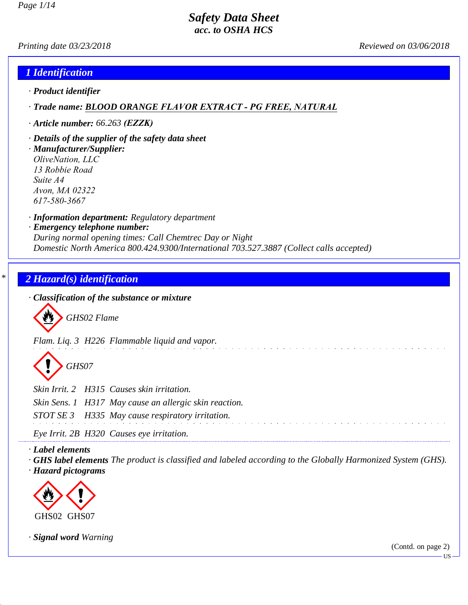*Printing date 03/23/2018 Reviewed on 03/06/2018*

#### *1 Identification*

*· Product identifier*

*· Trade name: BLOOD ORANGE FLAVOR EXTRACT - PG FREE, NATURAL*

*· Article number: 66.263 (EZZK)*

*· Details of the supplier of the safety data sheet · Manufacturer/Supplier: OliveNation, LLC 13 Robbie Road Suite A4 Avon, MA 02322 617-580-3667*

*· Information department: Regulatory department*

*· Emergency telephone number:*

*During normal opening times: Call Chemtrec Day or Night Domestic North America 800.424.9300/International 703.527.3887 (Collect calls accepted)*

## *\* 2 Hazard(s) identification*

*· Classification of the substance or mixture*

d~*GHS02 Flame*

*Flam. Liq. 3 H226 Flammable liquid and vapor.*

d~*GHS07*

*Skin Irrit. 2 H315 Causes skin irritation.*

*Skin Sens. 1 H317 May cause an allergic skin reaction.*

*STOT SE 3 H335 May cause respiratory irritation.*

*Eye Irrit. 2B H320 Causes eye irritation.*

*· Label elements*

*· GHS label elements The product is classified and labeled according to the Globally Harmonized System (GHS). · Hazard pictograms*



*· Signal word Warning*

(Contd. on page 2)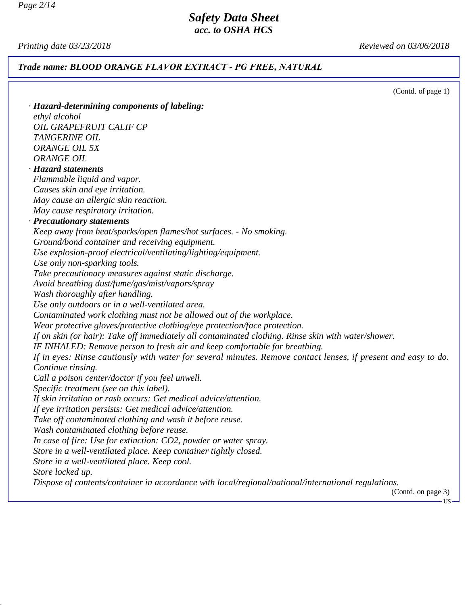*Page 2/14*

# *Safety Data Sheet acc. to OSHA HCS*

*Printing date 03/23/2018 Reviewed on 03/06/2018*

*Trade name: BLOOD ORANGE FLAVOR EXTRACT - PG FREE, NATURAL*

(Contd. of page 1)

| · Hazard-determining components of labeling:                                                                   |
|----------------------------------------------------------------------------------------------------------------|
| ethyl alcohol                                                                                                  |
| OIL GRAPEFRUIT CALIF CP                                                                                        |
| TANGERINE OIL                                                                                                  |
| <b>ORANGE OIL 5X</b>                                                                                           |
| <b>ORANGE OIL</b>                                                                                              |
| · Hazard statements                                                                                            |
| Flammable liquid and vapor.                                                                                    |
| Causes skin and eye irritation.                                                                                |
| May cause an allergic skin reaction.                                                                           |
| May cause respiratory irritation.                                                                              |
| · Precautionary statements                                                                                     |
| Keep away from heat/sparks/open flames/hot surfaces. - No smoking.                                             |
| Ground/bond container and receiving equipment.                                                                 |
| Use explosion-proof electrical/ventilating/lighting/equipment.                                                 |
| Use only non-sparking tools.                                                                                   |
| Take precautionary measures against static discharge.                                                          |
| Avoid breathing dust/fume/gas/mist/vapors/spray                                                                |
| Wash thoroughly after handling.                                                                                |
| Use only outdoors or in a well-ventilated area.                                                                |
| Contaminated work clothing must not be allowed out of the workplace.                                           |
| Wear protective gloves/protective clothing/eye protection/face protection.                                     |
| If on skin (or hair): Take off immediately all contaminated clothing. Rinse skin with water/shower.            |
| IF INHALED: Remove person to fresh air and keep comfortable for breathing.                                     |
| If in eyes: Rinse cautiously with water for several minutes. Remove contact lenses, if present and easy to do. |
| Continue rinsing.                                                                                              |
| Call a poison center/doctor if you feel unwell.                                                                |
| Specific treatment (see on this label).                                                                        |
| If skin irritation or rash occurs: Get medical advice/attention.                                               |
| If eye irritation persists: Get medical advice/attention.                                                      |
| Take off contaminated clothing and wash it before reuse.                                                       |
| Wash contaminated clothing before reuse.                                                                       |
| In case of fire: Use for extinction: CO2, powder or water spray.                                               |
| Store in a well-ventilated place. Keep container tightly closed.                                               |
| Store in a well-ventilated place. Keep cool.                                                                   |
| Store locked up.                                                                                               |
| Dispose of contents/container in accordance with local/regional/national/international regulations.            |

(Contd. on page 3)

 $-US -$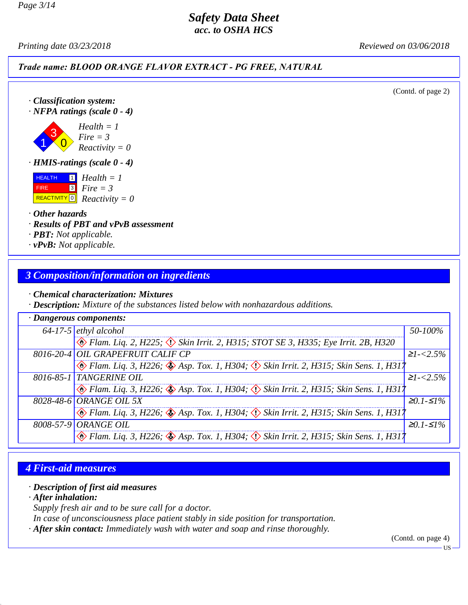*Printing date 03/23/2018 Reviewed on 03/06/2018*

*Trade name: BLOOD ORANGE FLAVOR EXTRACT - PG FREE, NATURAL*

(Contd. of page 2)

*· Classification system:*

*· NFPA ratings (scale 0 - 4)*



*· HMIS-ratings (scale 0 - 4)*

 HEALTH FIRE REACTIVITY 0 *Reactivity = 0* 1 *Health = 1* 3 *Fire = 3*

*· Other hazards*

*· Results of PBT and vPvB assessment*

*· PBT: Not applicable.*

*· vPvB: Not applicable.*

# *3 Composition/information on ingredients*

*· Chemical characterization: Mixtures*

*· Description: Mixture of the substances listed below with nonhazardous additions.*

| $\cdot$ Dangerous components: |                                                                                                              |                |  |
|-------------------------------|--------------------------------------------------------------------------------------------------------------|----------------|--|
|                               | $64-17-5$ ethyl alcohol                                                                                      | 50-100%        |  |
|                               | $\circledast$ Flam. Liq. 2, H225; $\circledast$ Skin Irrit. 2, H315; STOT SE 3, H335; Eye Irrit. 2B, H320    |                |  |
|                               | 8016-20-4 OIL GRAPEFRUIT CALIF CP                                                                            | $\geq$ 1-<2.5% |  |
|                               | $\otimes$ Flam. Liq. 3, H226; $\otimes$ Asp. Tox. 1, H304; $\otimes$ Skin Irrit. 2, H315; Skin Sens. 1, H317 |                |  |
|                               | 8016-85-1 TANGERINE OIL                                                                                      | $\geq$ 1-<2.5% |  |
|                               | Blam. Liq. 3, H226; Sap. Tox. 1, H304; Skin Irrit. 2, H315; Skin Sens. 1, H317                               |                |  |
|                               | 8028-48-6 ORANGE OIL 5X                                                                                      | $≥0.1-S1%$     |  |
|                               | Flam. Lig. 3, H226; Asp. Tox. 1, H304; $\langle \rangle$ Skin Irrit. 2, H315; Skin Sens. 1, H317             |                |  |
|                               | 8008-57-9 ORANGE OIL                                                                                         | $≥0.1-S1%$     |  |
|                               | <b>B</b> Flam. Liq. 3, H226; <b>S</b> Asp. Tox. 1, H304; $\Diamond$ Skin Irrit. 2, H315; Skin Sens. 1, H317  |                |  |

# *4 First-aid measures*

#### *· Description of first aid measures*

*· After inhalation:*

*Supply fresh air and to be sure call for a doctor.*

*In case of unconsciousness place patient stably in side position for transportation.*

*· After skin contact: Immediately wash with water and soap and rinse thoroughly.*

(Contd. on page 4)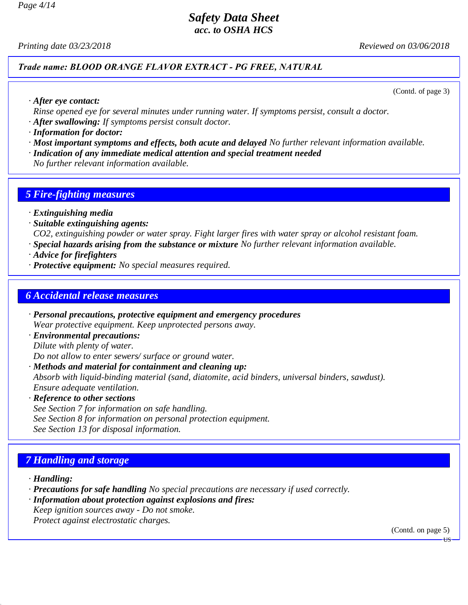*Printing date 03/23/2018 Reviewed on 03/06/2018*

#### *Trade name: BLOOD ORANGE FLAVOR EXTRACT - PG FREE, NATURAL*

(Contd. of page 3)

*· After eye contact:*

*Rinse opened eye for several minutes under running water. If symptoms persist, consult a doctor. · After swallowing: If symptoms persist consult doctor.*

*· Information for doctor:*

- *· Most important symptoms and effects, both acute and delayed No further relevant information available.*
- *· Indication of any immediate medical attention and special treatment needed*

*No further relevant information available.*

#### *5 Fire-fighting measures*

- *· Extinguishing media*
- *· Suitable extinguishing agents:*

*CO2, extinguishing powder or water spray. Fight larger fires with water spray or alcohol resistant foam.*

*· Special hazards arising from the substance or mixture No further relevant information available.*

- *· Advice for firefighters*
- *· Protective equipment: No special measures required.*

#### *6 Accidental release measures*

- *· Personal precautions, protective equipment and emergency procedures Wear protective equipment. Keep unprotected persons away.*
- *· Environmental precautions: Dilute with plenty of water. Do not allow to enter sewers/ surface or ground water.*
- *· Methods and material for containment and cleaning up:*

*Absorb with liquid-binding material (sand, diatomite, acid binders, universal binders, sawdust). Ensure adequate ventilation.*

*· Reference to other sections*

*See Section 7 for information on safe handling. See Section 8 for information on personal protection equipment. See Section 13 for disposal information.*

# *7 Handling and storage*

- *· Handling:*
- *· Precautions for safe handling No special precautions are necessary if used correctly.*
- *· Information about protection against explosions and fires:*
- *Keep ignition sources away Do not smoke.*
- *Protect against electrostatic charges.*

(Contd. on page 5)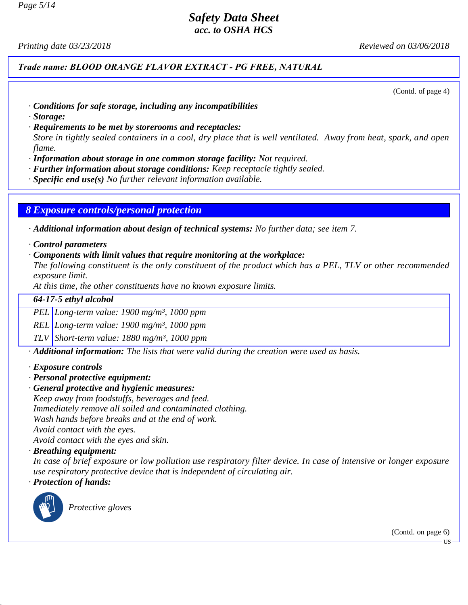# *Safety Data Sheet*

*acc. to OSHA HCS*

*Printing date 03/23/2018 Reviewed on 03/06/2018*

#### *Trade name: BLOOD ORANGE FLAVOR EXTRACT - PG FREE, NATURAL*

(Contd. of page 4)

- *· Conditions for safe storage, including any incompatibilities*
- *· Storage:*
- *· Requirements to be met by storerooms and receptacles:*

*Store in tightly sealed containers in a cool, dry place that is well ventilated. Away from heat, spark, and open flame.*

- *· Information about storage in one common storage facility: Not required.*
- *· Further information about storage conditions: Keep receptacle tightly sealed.*
- *· Specific end use(s) No further relevant information available.*

#### *8 Exposure controls/personal protection*

*· Additional information about design of technical systems: No further data; see item 7.*

- *· Control parameters*
- *· Components with limit values that require monitoring at the workplace:*

*The following constituent is the only constituent of the product which has a PEL, TLV or other recommended exposure limit.*

*At this time, the other constituents have no known exposure limits.*

#### *64-17-5 ethyl alcohol*

*PEL Long-term value: 1900 mg/m³, 1000 ppm*

*REL Long-term value: 1900 mg/m³, 1000 ppm*

*TLV Short-term value: 1880 mg/m³, 1000 ppm*

*· Additional information: The lists that were valid during the creation were used as basis.*

- *· Exposure controls*
- *· Personal protective equipment:*
- *· General protective and hygienic measures:*

*Keep away from foodstuffs, beverages and feed. Immediately remove all soiled and contaminated clothing.*

*Wash hands before breaks and at the end of work.*

*Avoid contact with the eyes.*

*Avoid contact with the eyes and skin.*

#### *· Breathing equipment:*

*In case of brief exposure or low pollution use respiratory filter device. In case of intensive or longer exposure use respiratory protective device that is independent of circulating air.*

*· Protection of hands:*



\_S *Protective gloves*

(Contd. on page 6)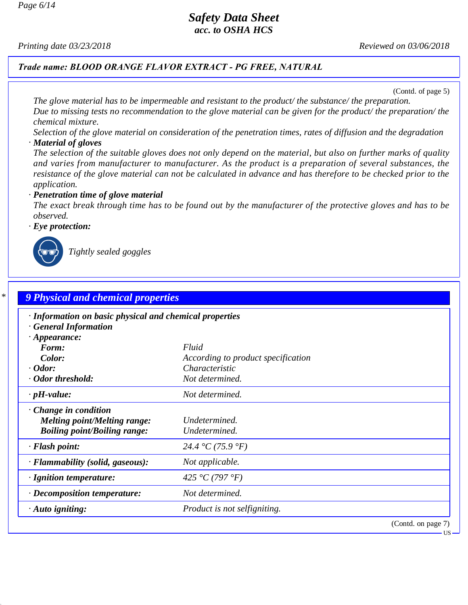*Page 6/14*

# *Safety Data Sheet*

*acc. to OSHA HCS*

*Printing date 03/23/2018 Reviewed on 03/06/2018*

*Trade name: BLOOD ORANGE FLAVOR EXTRACT - PG FREE, NATURAL*

(Contd. of page 5)

US

*The glove material has to be impermeable and resistant to the product/ the substance/ the preparation. Due to missing tests no recommendation to the glove material can be given for the product/ the preparation/ the chemical mixture.*

*Selection of the glove material on consideration of the penetration times, rates of diffusion and the degradation · Material of gloves*

*The selection of the suitable gloves does not only depend on the material, but also on further marks of quality and varies from manufacturer to manufacturer. As the product is a preparation of several substances, the resistance of the glove material can not be calculated in advance and has therefore to be checked prior to the application.*

*· Penetration time of glove material*

*The exact break through time has to be found out by the manufacturer of the protective gloves and has to be observed.*

*· Eye protection:*



\_R *Tightly sealed goggles*

| · Information on basic physical and chemical properties<br>· General Information |                                    |  |
|----------------------------------------------------------------------------------|------------------------------------|--|
| $\cdot$ Appearance:                                                              |                                    |  |
| Form:                                                                            | Fluid                              |  |
| Color:                                                                           | According to product specification |  |
| $\cdot$ Odor:                                                                    | Characteristic                     |  |
| · Odor threshold:                                                                | Not determined.                    |  |
| $\cdot$ pH-value:                                                                | Not determined.                    |  |
| $\cdot$ Change in condition                                                      |                                    |  |
| <b>Melting point/Melting range:</b>                                              | Undetermined.                      |  |
| <b>Boiling point/Boiling range:</b>                                              | Undetermined.                      |  |
| $\cdot$ Flash point:                                                             | 24.4 °C (75.9 °F)                  |  |
| · Flammability (solid, gaseous):                                                 | Not applicable.                    |  |
| $\cdot$ Ignition temperature:                                                    | 425 °C (797 °F)                    |  |
| $\cdot$ Decomposition temperature:                                               | Not determined.                    |  |
| $\cdot$ Auto igniting:                                                           | Product is not selfigniting.       |  |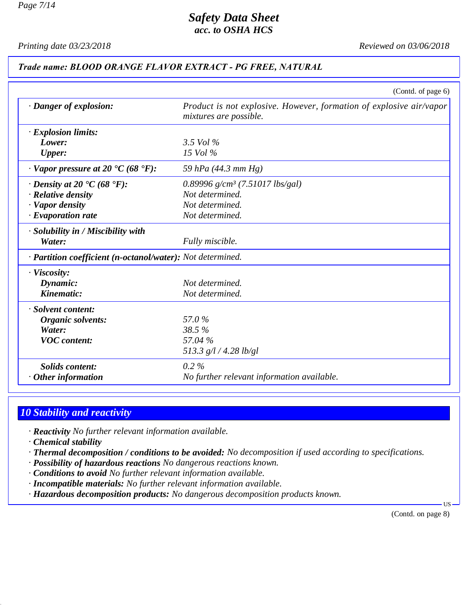*Printing date 03/23/2018 Reviewed on 03/06/2018*

#### *Trade name: BLOOD ORANGE FLAVOR EXTRACT - PG FREE, NATURAL*

|                                                                    | (Contd. of page 6)                                                                            |
|--------------------------------------------------------------------|-----------------------------------------------------------------------------------------------|
| · Danger of explosion:                                             | Product is not explosive. However, formation of explosive air/vapor<br>mixtures are possible. |
| $\cdot$ Explosion limits:                                          |                                                                                               |
| Lower:                                                             | 3.5 Vol $\%$                                                                                  |
| <b>Upper:</b>                                                      | $15$ Vol $\%$                                                                                 |
| $\cdot$ Vapor pressure at 20 $\textdegree$ C (68 $\textdegree$ F): | 59 hPa (44.3 mm Hg)                                                                           |
| $\cdot$ Density at 20 $\textdegree$ C (68 $\textdegree$ F):        | 0.89996 $g/cm^3$ (7.51017 lbs/gal)                                                            |
| $\cdot$ Relative density                                           | Not determined.                                                                               |
| · Vapor density                                                    | Not determined.                                                                               |
| $\cdot$ Evaporation rate                                           | Not determined.                                                                               |
| · Solubility in / Miscibility with                                 |                                                                                               |
| Water:                                                             | Fully miscible.                                                                               |
| · Partition coefficient (n-octanol/water): Not determined.         |                                                                                               |
| · Viscosity:                                                       |                                                                                               |
| Dynamic:                                                           | Not determined.                                                                               |
| Kinematic:                                                         | Not determined.                                                                               |
| · Solvent content:                                                 |                                                                                               |
| Organic solvents:                                                  | 57.0%                                                                                         |
| Water:                                                             | 38.5%                                                                                         |
| <b>VOC</b> content:                                                | 57.04 %                                                                                       |
|                                                                    | 513.3 $g/l / 4.28 lb/gl$                                                                      |
| <b>Solids content:</b>                                             | $0.2\%$                                                                                       |
| $\cdot$ Other information                                          | No further relevant information available.                                                    |

# *10 Stability and reactivity*

- *· Reactivity No further relevant information available.*
- *· Chemical stability*
- *· Thermal decomposition / conditions to be avoided: No decomposition if used according to specifications.*
- *· Possibility of hazardous reactions No dangerous reactions known.*
- *· Conditions to avoid No further relevant information available.*
- *· Incompatible materials: No further relevant information available.*
- *· Hazardous decomposition products: No dangerous decomposition products known.*

(Contd. on page 8)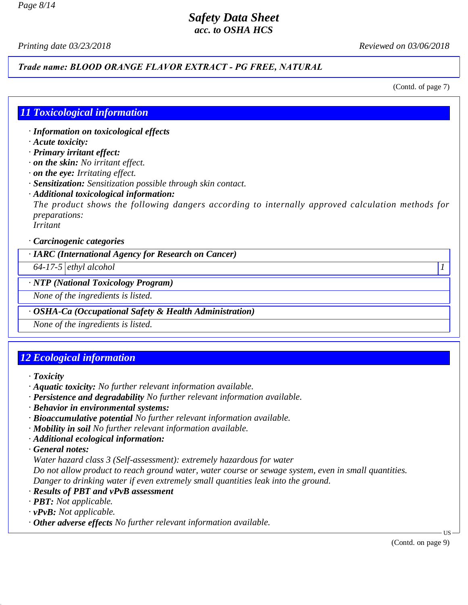*Printing date 03/23/2018 Reviewed on 03/06/2018*

# *Trade name: BLOOD ORANGE FLAVOR EXTRACT - PG FREE, NATURAL*

(Contd. of page 7)

# *11 Toxicological information*

*· Information on toxicological effects*

*· Acute toxicity:*

*· Primary irritant effect:*

*· on the skin: No irritant effect.*

- *· on the eye: Irritating effect.*
- *· Sensitization: Sensitization possible through skin contact.*
- *· Additional toxicological information:*

*The product shows the following dangers according to internally approved calculation methods for preparations:*

*Irritant*

*· Carcinogenic categories*

*· IARC (International Agency for Research on Cancer)*

*64-17-5 ethyl alcohol 1*

*· NTP (National Toxicology Program)*

*None of the ingredients is listed.*

*· OSHA-Ca (Occupational Safety & Health Administration)*

*None of the ingredients is listed.*

# *12 Ecological information*

- *· Toxicity*
- *· Aquatic toxicity: No further relevant information available.*
- *· Persistence and degradability No further relevant information available.*
- *· Behavior in environmental systems:*
- *· Bioaccumulative potential No further relevant information available.*
- *· Mobility in soil No further relevant information available.*
- *· Additional ecological information:*
- *· General notes:*

*Water hazard class 3 (Self-assessment): extremely hazardous for water*

*Do not allow product to reach ground water, water course or sewage system, even in small quantities. Danger to drinking water if even extremely small quantities leak into the ground.*

- *· Results of PBT and vPvB assessment*
- *· PBT: Not applicable.*
- *· vPvB: Not applicable.*
- *· Other adverse effects No further relevant information available.*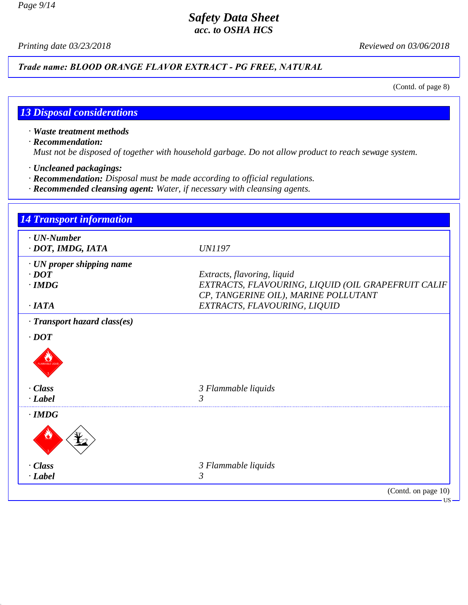*Page 9/14*

#### *Safety Data Sheet acc. to OSHA HCS*

*Printing date 03/23/2018 Reviewed on 03/06/2018*

*Trade name: BLOOD ORANGE FLAVOR EXTRACT - PG FREE, NATURAL*

(Contd. of page 8)

# *13 Disposal considerations*

- *· Waste treatment methods*
- *· Recommendation:*

*Must not be disposed of together with household garbage. Do not allow product to reach sewage system.*

- *· Uncleaned packagings:*
- *· Recommendation: Disposal must be made according to official regulations.*
- *· Recommended cleansing agent: Water, if necessary with cleansing agents.*

| <b>Transport information</b>                             |                                                                                                                           |
|----------------------------------------------------------|---------------------------------------------------------------------------------------------------------------------------|
| $\cdot$ UN-Number<br>· DOT, IMDG, IATA                   | <i>UN1197</i>                                                                                                             |
| · UN proper shipping name<br>$\cdot$ DOT<br>$\cdot$ IMDG | Extracts, flavoring, liquid<br>EXTRACTS, FLAVOURING, LIQUID (OIL GRAPEFRUIT CALIF<br>CP, TANGERINE OIL), MARINE POLLUTANT |
| $\cdot$ IATA                                             | EXTRACTS, FLAVOURING, LIQUID                                                                                              |
| · Transport hazard class(es)                             |                                                                                                                           |
| $\cdot$ DOT                                              |                                                                                                                           |
|                                                          |                                                                                                                           |
| · Class                                                  | 3 Flammable liquids                                                                                                       |
| $\cdot$ Label                                            |                                                                                                                           |
| $\cdot$ IMDG                                             |                                                                                                                           |
|                                                          |                                                                                                                           |
| · Class                                                  | 3 Flammable liquids                                                                                                       |
| $\cdot$ Label                                            | 3                                                                                                                         |
|                                                          | (Contd. on page 10)                                                                                                       |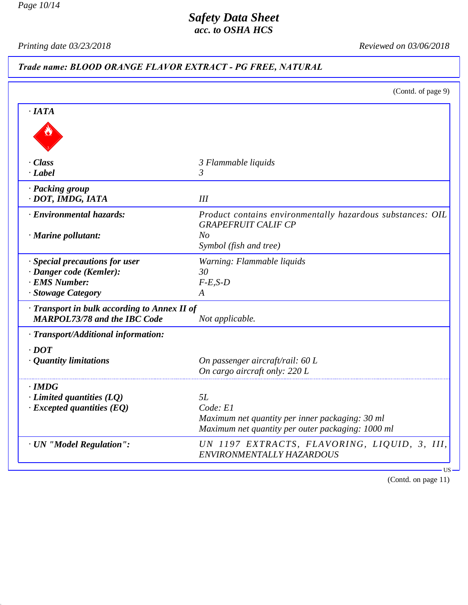*Page 10/14*

## *Safety Data Sheet acc. to OSHA HCS*

*Printing date 03/23/2018 Reviewed on 03/06/2018*

# *Trade name: BLOOD ORANGE FLAVOR EXTRACT - PG FREE, NATURAL*

|                                                                                     | (Contd. of page 9)                                                                       |
|-------------------------------------------------------------------------------------|------------------------------------------------------------------------------------------|
| ·IATA                                                                               |                                                                                          |
|                                                                                     |                                                                                          |
| · Class                                                                             | 3 Flammable liquids                                                                      |
| $\cdot$ Label                                                                       | 3                                                                                        |
| · Packing group                                                                     |                                                                                          |
| · DOT, IMDG, IATA                                                                   | III                                                                                      |
| · Environmental hazards:                                                            | Product contains environmentally hazardous substances: OIL<br><b>GRAPEFRUIT CALIF CP</b> |
| $\cdot$ Marine pollutant:                                                           | N <sub>O</sub>                                                                           |
|                                                                                     | Symbol (fish and tree)                                                                   |
| · Special precautions for user                                                      | Warning: Flammable liquids                                                               |
| · Danger code (Kemler):                                                             | 30                                                                                       |
| · EMS Number:                                                                       | $F-E,S-D$                                                                                |
| · Stowage Category                                                                  | A                                                                                        |
| · Transport in bulk according to Annex II of<br><b>MARPOL73/78 and the IBC Code</b> | Not applicable.                                                                          |
| · Transport/Additional information:                                                 |                                                                                          |
| $\cdot$ <i>DOT</i>                                                                  |                                                                                          |
| $\cdot$ Quantity limitations                                                        | On passenger aircraft/rail: 60 L                                                         |
|                                                                                     | On cargo aircraft only: 220 L                                                            |
| $\cdot$ IMDG                                                                        |                                                                                          |
| $\cdot$ Limited quantities (LQ)                                                     | 5L                                                                                       |
| $\cdot$ Excepted quantities (EQ)                                                    | Code: El                                                                                 |
|                                                                                     | Maximum net quantity per inner packaging: 30 ml                                          |
|                                                                                     | Maximum net quantity per outer packaging: 1000 ml                                        |
| · UN "Model Regulation":                                                            | UN 1197 EXTRACTS, FLAVORING, LIQUID, 3, III,<br>ENVIRONMENTALLY HAZARDOUS                |

(Contd. on page 11)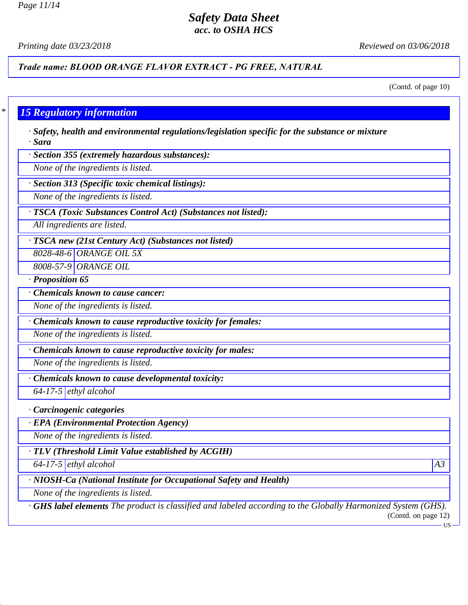# *Safety Data Sheet*

*acc. to OSHA HCS*

*Printing date 03/23/2018 Reviewed on 03/06/2018*

*Trade name: BLOOD ORANGE FLAVOR EXTRACT - PG FREE, NATURAL*

(Contd. of page 10)

#### *\* 15 Regulatory information*

*· Safety, health and environmental regulations/legislation specific for the substance or mixture · Sara*

*· Section 355 (extremely hazardous substances):*

*None of the ingredients is listed.*

*· Section 313 (Specific toxic chemical listings):*

*None of the ingredients is listed.*

*· TSCA (Toxic Substances Control Act) (Substances not listed):*

*All ingredients are listed.*

*· TSCA new (21st Century Act) (Substances not listed)*

*8028-48-6 ORANGE OIL 5X*

*8008-57-9 ORANGE OIL*

*· Proposition 65*

*· Chemicals known to cause cancer:*

*None of the ingredients is listed.*

*· Chemicals known to cause reproductive toxicity for females:*

*None of the ingredients is listed.*

*· Chemicals known to cause reproductive toxicity for males:*

*None of the ingredients is listed.*

*· Chemicals known to cause developmental toxicity:*

*64-17-5 ethyl alcohol*

*· Carcinogenic categories*

*· EPA (Environmental Protection Agency)*

*None of the ingredients is listed.*

*· TLV (Threshold Limit Value established by ACGIH)*

*64-17-5 ethyl alcohol A3*

*· NIOSH-Ca (National Institute for Occupational Safety and Health)*

*None of the ingredients is listed.*

*· GHS label elements The product is classified and labeled according to the Globally Harmonized System (GHS).* (Contd. on page 12)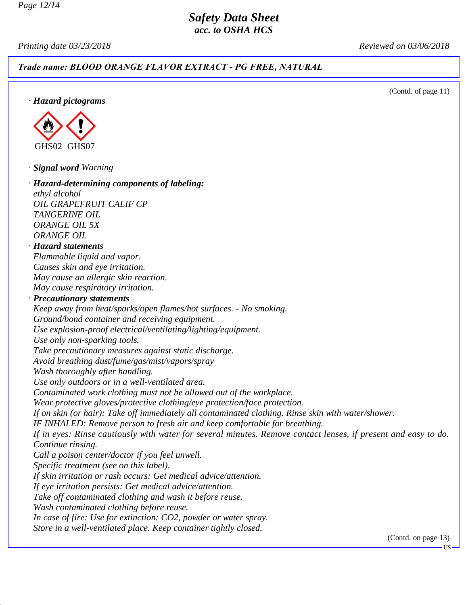*Printing date 03/23/2018 Reviewed on 03/06/2018*

*Trade name: BLOOD ORANGE FLAVOR EXTRACT - PG FREE, NATURAL*

(Contd. of page 11)

*· Hazard pictograms*



*· Signal word Warning*

*· Hazard-determining components of labeling: ethyl alcohol OIL GRAPEFRUIT CALIF CP TANGERINE OIL ORANGE OIL 5X ORANGE OIL · Hazard statements Flammable liquid and vapor. Causes skin and eye irritation. May cause an allergic skin reaction. May cause respiratory irritation. · Precautionary statements Keep away from heat/sparks/open flames/hot surfaces. - No smoking. Ground/bond container and receiving equipment. Use explosion-proof electrical/ventilating/lighting/equipment. Use only non-sparking tools. Take precautionary measures against static discharge. Avoid breathing dust/fume/gas/mist/vapors/spray Wash thoroughly after handling. Use only outdoors or in a well-ventilated area. Contaminated work clothing must not be allowed out of the workplace. Wear protective gloves/protective clothing/eye protection/face protection. If on skin (or hair): Take off immediately all contaminated clothing. Rinse skin with water/shower. IF INHALED: Remove person to fresh air and keep comfortable for breathing. If in eyes: Rinse cautiously with water for several minutes. Remove contact lenses, if present and easy to do. Continue rinsing. Call a poison center/doctor if you feel unwell. Specific treatment (see on this label). If skin irritation or rash occurs: Get medical advice/attention. If eye irritation persists: Get medical advice/attention. Take off contaminated clothing and wash it before reuse. Wash contaminated clothing before reuse. In case of fire: Use for extinction: CO2, powder or water spray. Store in a well-ventilated place. Keep container tightly closed.*

(Contd. on page 13)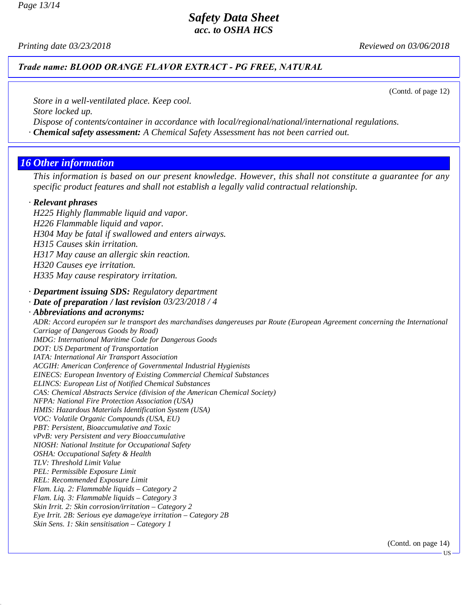*Printing date 03/23/2018 Reviewed on 03/06/2018*

#### *Trade name: BLOOD ORANGE FLAVOR EXTRACT - PG FREE, NATURAL*

(Contd. of page 12)

*Store in a well-ventilated place. Keep cool.*

*Store locked up.*

*Dispose of contents/container in accordance with local/regional/national/international regulations.*

*· Chemical safety assessment: A Chemical Safety Assessment has not been carried out.*

### *16 Other information*

*This information is based on our present knowledge. However, this shall not constitute a guarantee for any specific product features and shall not establish a legally valid contractual relationship.*

#### *· Relevant phrases*

*H225 Highly flammable liquid and vapor. H226 Flammable liquid and vapor. H304 May be fatal if swallowed and enters airways. H315 Causes skin irritation. H317 May cause an allergic skin reaction. H320 Causes eye irritation.*

*H335 May cause respiratory irritation.*

*· Department issuing SDS: Regulatory department*

*· Date of preparation / last revision 03/23/2018 / 4*

#### *· Abbreviations and acronyms:*

*ADR: Accord européen sur le transport des marchandises dangereuses par Route (European Agreement concerning the International Carriage of Dangerous Goods by Road) IMDG: International Maritime Code for Dangerous Goods DOT: US Department of Transportation IATA: International Air Transport Association ACGIH: American Conference of Governmental Industrial Hygienists EINECS: European Inventory of Existing Commercial Chemical Substances ELINCS: European List of Notified Chemical Substances CAS: Chemical Abstracts Service (division of the American Chemical Society) NFPA: National Fire Protection Association (USA) HMIS: Hazardous Materials Identification System (USA) VOC: Volatile Organic Compounds (USA, EU) PBT: Persistent, Bioaccumulative and Toxic vPvB: very Persistent and very Bioaccumulative NIOSH: National Institute for Occupational Safety OSHA: Occupational Safety & Health TLV: Threshold Limit Value PEL: Permissible Exposure Limit REL: Recommended Exposure Limit Flam. Liq. 2: Flammable liquids – Category 2 Flam. Liq. 3: Flammable liquids – Category 3 Skin Irrit. 2: Skin corrosion/irritation – Category 2 Eye Irrit. 2B: Serious eye damage/eye irritation – Category 2B Skin Sens. 1: Skin sensitisation – Category 1*

(Contd. on page 14)